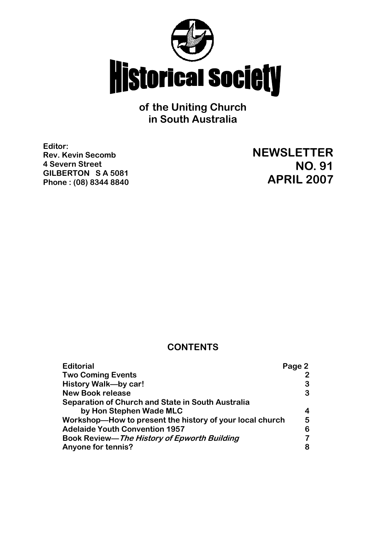

**of the Uniting Church in South Australia**

**Editor: Rev. Kevin Secomb 4 Severn Street GILBERTON S A 5081 Phone : (08) 8344 8840**

**NEWSLETTER NO. 91 APRIL 2007**

## **CONTENTS**

| <b>Editorial</b>                                         | Page 2 |
|----------------------------------------------------------|--------|
| <b>Two Coming Events</b>                                 |        |
| <b>History Walk-by car!</b>                              | З      |
| <b>New Book release</b>                                  | 3      |
| <b>Separation of Church and State in South Australia</b> |        |
| by Hon Stephen Wade MLC                                  |        |
| Workshop-How to present the history of your local church | 5      |
| <b>Adelaide Youth Convention 1957</b>                    | 6      |
| Book Review—The History of Epworth Building              |        |
| Anyone for tennis?                                       | 8      |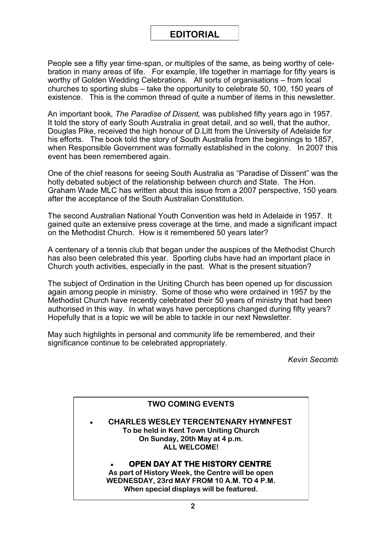# **EDITORIAL**

People see a fifty year time-span, or multiples of the same, as being worthy of celebration in many areas of life. For example, life together in marriage for fifty years is worthy of Golden Wedding Celebrations. All sorts of organisations – from local churches to sporting slubs – take the opportunity to celebrate 50, 100, 150 years of existence. This is the common thread of quite a number of items in this newsletter.

An important book, *The Paradise of Dissent,* was published fifty years ago in 1957. It told the story of early South Australia in great detail, and so well, that the author, Douglas Pike, received the high honour of D.Litt from the University of Adelaide for his efforts. The book told the story of South Australia from the beginnings to 1857, when Responsible Government was formally established in the colony. In 2007 this event has been remembered again.

One of the chief reasons for seeing South Australia as "Paradise of Dissent" was the hotly debated subject of the relationship between church and State. The Hon. Graham Wade MLC has written about this issue from a 2007 perspective, 150 years after the acceptance of the South Australian Constitution.

The second Australian National Youth Convention was held in Adelaide in 1957. It gained quite an extensive press coverage at the time, and made a significant impact on the Methodist Church. How is it remembered 50 years later?

A centenary of a tennis club that began under the auspices of the Methodist Church has also been celebrated this year. Sporting clubs have had an important place in Church youth activities, especially in the past. What is the present situation?

The subject of Ordination in the Uniting Church has been opened up for discussion again among people in ministry. Some of those who were ordained in 1957 by the Methodist Church have recently celebrated their 50 years of ministry that had been authorised in this way. In what ways have perceptions changed during fifty years? Hopefully that is a topic we will be able to tackle in our next Newsletter.

May such highlights in personal and community life be remembered, and their significance continue to be celebrated appropriately.

*Kevin Secomb*

### **TWO COMING EVENTS**

 **CHARLES WESLEY TERCENTENARY HYMNFEST To be held in Kent Town Uniting Church On Sunday, 20th May at 4 p.m. ALL WELCOME!**

### **OPEN DAY AT THE HISTORY CENTRE**

**As part of History Week, the Centre will be open WEDNESDAY, 23rd MAY FROM 10 A.M. TO 4 P.M. When special displays will be featured.**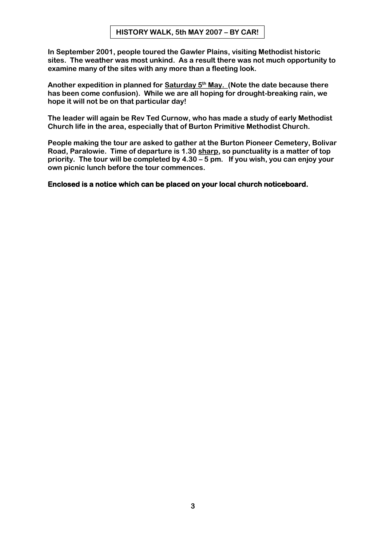**In September 2001, people toured the Gawler Plains, visiting Methodist historic sites. The weather was most unkind. As a result there was not much opportunity to examine many of the sites with any more than a fleeting look.**

**Another expedition in planned for Saturday 5th May. (Note the date because there has been come confusion). While we are all hoping for drought-breaking rain, we hope it will not be on that particular day!**

**The leader will again be Rev Ted Curnow, who has made a study of early Methodist Church life in the area, especially that of Burton Primitive Methodist Church.**

**People making the tour are asked to gather at the Burton Pioneer Cemetery, Bolivar Road, Paralowie. Time of departure is 1.30 sharp, so punctuality is a matter of top priority. The tour will be completed by 4.30 – 5 pm. If you wish, you can enjoy your own picnic lunch before the tour commences.**

**Enclosed is a notice which can be placed on your local church noticeboard.**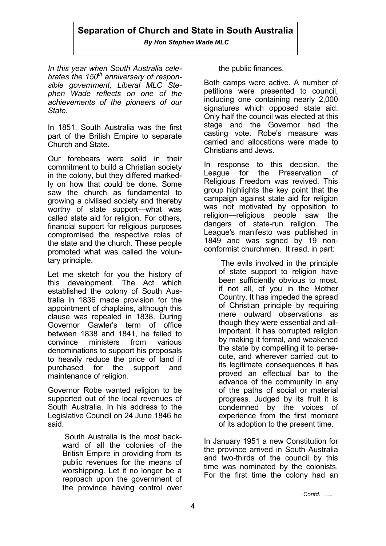## **Separation of Church and State in South Australia**

*By Hon Stephen Wade MLC*

*In this year when South Australia celebrates the 150th anniversary of responsible government, Liberal MLC Stephen Wade reflects on one of the achievements of the pioneers of our State.* 

In 1851, South Australia was the first part of the British Empire to separate Church and State.

Our forebears were solid in their commitment to build a Christian society in the colony, but they differed markedly on how that could be done. Some saw the church as fundamental to growing a civilised society and thereby worthy of state support—what was called state aid for religion. For others, financial support for religious purposes compromised the respective roles of the state and the church. These people promoted what was called the voluntary principle.

Let me sketch for you the history of this development. The Act which established the colony of South Australia in 1836 made provision for the appointment of chaplains, although this clause was repealed in 1838. During Governor Gawler's term of office between 1838 and 1841, he failed to convince ministers from various denominations to support his proposals to heavily reduce the price of land if purchased for the support and maintenance of religion.

Governor Robe wanted religion to be supported out of the local revenues of South Australia. In his address to the Legislative Council on 24 June 1846 he said:

> South Australia is the most backward of all the colonies of the British Empire in providing from its public revenues for the means of worshipping. Let it no longer be a reproach upon the government of the province having control over

the public finances.

Both camps were active. A number of petitions were presented to council, including one containing nearly 2,000 signatures which opposed state aid. Only half the council was elected at this stage and the Governor had the casting vote. Robe's measure was carried and allocations were made to Christians and Jews.

In response to this decision, the League for the Preservation of Religious Freedom was revived. This group highlights the key point that the campaign against state aid for religion was not motivated by opposition to religion—religious people saw the dangers of state-run religion. The League's manifesto was published in 1849 and was signed by 19 nonconformist churchmen. It read, in part:

The evils involved in the principle of state support to religion have been sufficiently obvious to most, if not all, of you in the Mother Country. It has impeded the spread of Christian principle by requiring mere outward observations as though they were essential and allimportant. It has corrupted religion by making it formal, and weakened the state by compelling it to persecute, and wherever carried out to its legitimate consequences it has proved an effectual bar to the advance of the community in any of the paths of social or material progress. Judged by its fruit it is condemned by the voices of experience from the first moment of its adoption to the present time.

In January 1951 a new Constitution for the province arrived in South Australia and two-thirds of the council by this time was nominated by the colonists. For the first time the colony had an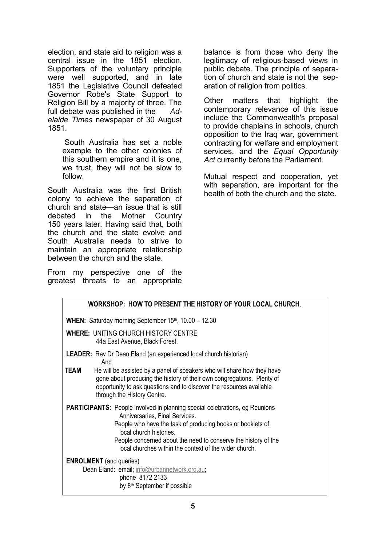election, and state aid to religion was a central issue in the 1851 election. Supporters of the voluntary principle were well supported, and in late 1851 the Legislative Council defeated Governor Robe's State Support to Religion Bill by a majority of three. The full debate was published in the *Adelaide Times* newspaper of 30 August 1851.

> South Australia has set a noble example to the other colonies of this southern empire and it is one, we trust, they will not be slow to follow.

South Australia was the first British colony to achieve the separation of church and state—an issue that is still debated in the Mother Country 150 years later. Having said that, both the church and the state evolve and South Australia needs to strive to maintain an appropriate relationship between the church and the state.

From my perspective one of the greatest threats to an appropriate balance is from those who deny the legitimacy of religious-based views in public debate. The principle of separation of church and state is not the separation of religion from politics.

Other matters that highlight the contemporary relevance of this issue include the Commonwealth's proposal to provide chaplains in schools, church opposition to the Iraq war, government contracting for welfare and employment services, and the *Equal Opportunity Act* currently before the Parliament.

Mutual respect and cooperation, yet with separation, are important for the health of both the church and the state.

| WORKSHOP: HOW TO PRESENT THE HISTORY OF YOUR LOCAL CHURCH.                                                                                                                                                                                                                                                                                |
|-------------------------------------------------------------------------------------------------------------------------------------------------------------------------------------------------------------------------------------------------------------------------------------------------------------------------------------------|
| <b>WHEN:</b> Saturday morning September $15th$ , $10.00 - 12.30$                                                                                                                                                                                                                                                                          |
| <b>WHERE: UNITING CHURCH HISTORY CENTRE</b><br>44a East Avenue, Black Forest.                                                                                                                                                                                                                                                             |
| <b>LEADER:</b> Rev Dr Dean Eland (an experienced local church historian)<br>And                                                                                                                                                                                                                                                           |
| <b>TEAM</b><br>He will be assisted by a panel of speakers who will share how they have<br>gone about producing the history of their own congregations. Plenty of<br>opportunity to ask questions and to discover the resources available<br>through the History Centre.                                                                   |
| <b>PARTICIPANTS:</b> People involved in planning special celebrations, eg Reunions<br>Anniversaries, Final Services.<br>People who have the task of producing books or booklets of<br>local church histories.<br>People concerned about the need to conserve the history of the<br>local churches within the context of the wider church. |
| <b>ENROLMENT</b> (and queries)<br>Dean Eland: email; info@urbannetwork.org.au;<br>phone 8172 2133<br>by 8 <sup>th</sup> September if possible                                                                                                                                                                                             |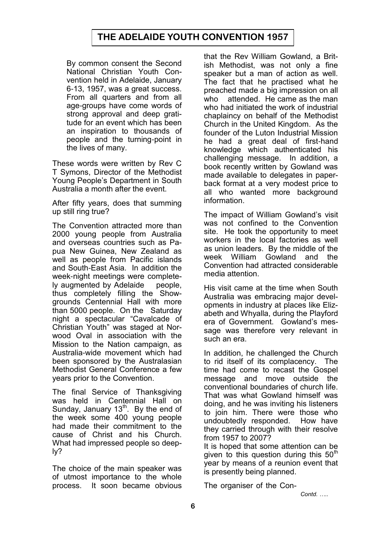# **THE ADELAIDE YOUTH CONVENTION 1957**

By common consent the Second National Christian Youth Convention held in Adelaide, January 6-13, 1957, was a great success. From all quarters and from all age-groups have come words of strong approval and deep gratitude for an event which has been an inspiration to thousands of people and the turning-point in the lives of many.

These words were written by Rev C T Symons, Director of the Methodist Young People's Department in South Australia a month after the event.

After fifty years, does that summing up still ring true?

The Convention attracted more than 2000 young people from Australia and overseas countries such as Papua New Guinea, New Zealand as well as people from Pacific islands and South-East Asia. In addition the week-night meetings were completely augmented by Adelaide people, thus completely filling the Showgrounds Centennial Hall with more than 5000 people. On the Saturday night a spectacular "Cavalcade of Christian Youth" was staged at Norwood Oval in association with the Mission to the Nation campaign, as Australia-wide movement which had been sponsored by the Australasian Methodist General Conference a few years prior to the Convention.

The final Service of Thanksgiving was held in Centennial Hall on Sunday, January  $13<sup>th</sup>$ . By the end of the week some 400 young people had made their commitment to the cause of Christ and his Church. What had impressed people so deeply?

The choice of the main speaker was of utmost importance to the whole process. It soon became obvious that the Rev William Gowland, a British Methodist, was not only a fine speaker but a man of action as well. The fact that he practised what he preached made a big impression on all who attended. He came as the man who had initiated the work of industrial chaplaincy on behalf of the Methodist Church in the United Kingdom. As the founder of the Luton Industrial Mission he had a great deal of first-hand knowledge which authenticated his challenging message. In addition, a book recently written by Gowland was made available to delegates in paperback format at a very modest price to all who wanted more background information.

The impact of William Gowland's visit was not confined to the Convention site. He took the opportunity to meet workers in the local factories as well as union leaders. By the middle of the week William Gowland and the Convention had attracted considerable media attention.

His visit came at the time when South Australia was embracing major developments in industry at places like Elizabeth and Whyalla, during the Playford era of Government. Gowland's message was therefore very relevant in such an era.

In addition, he challenged the Church to rid itself of its complacency. The time had come to recast the Gospel message and move outside the conventional boundaries of church life. That was what Gowland himself was doing, and he was inviting his listeners to join him. There were those who undoubtedly responded. How have they carried through with their resolve from 1957 to 2007?

It is hoped that some attention can be given to this question during this  $50<sup>th</sup>$ year by means of a reunion event that is presently being planned.

The organiser of the Con-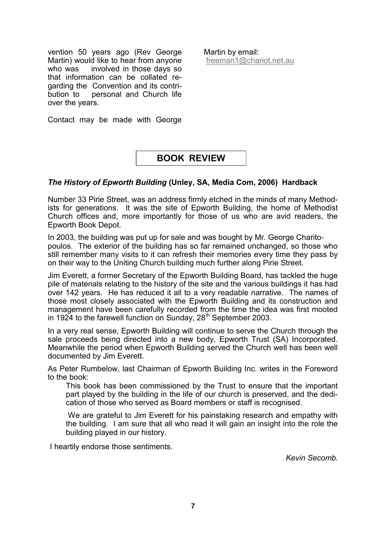vention 50 years ago (Rev George Martin) would like to hear from anyone who was involved in those days so that information can be collated regarding the Convention and its contribution to personal and Church life over the years.

Martin by email: [freeman1@chariot.net.au](mailto:freeman1@chariot.net.au)

Contact may be made with George

## **BOOK REVIEW**

#### *The History of Epworth Building* **(Unley, SA, Media Com, 2006) Hardback**

Number 33 Pirie Street, was an address firmly etched in the minds of many Methodists for generations. It was the site of Epworth Building, the home of Methodist Church offices and, more importantly for those of us who are avid readers, the Epworth Book Depot.

In 2003, the building was put up for sale and was bought by Mr. George Charitopoulos. The exterior of the building has so far remained unchanged, so those who still remember many visits to it can refresh their memories every time they pass by on their way to the Uniting Church building much further along Pirie Street.

Jim Everett, a former Secretary of the Epworth Building Board, has tackled the huge pile of materials relating to the history of the site and the various buildings it has had over 142 years. He has reduced it all to a very readable narrative. The names of those most closely associated with the Epworth Building and its construction and management have been carefully recorded from the time the idea was first mooted in 1924 to the farewell function on Sunday, 28<sup>th</sup> September 2003.

In a very real sense, Epworth Building will continue to serve the Church through the sale proceeds being directed into a new body, Epworth Trust (SA) Incorporated. Meanwhile the period when Epworth Building served the Church well has been well documented by Jim Everett.

As Peter Rumbelow, last Chairman of Epworth Building Inc. writes in the Foreword to the book:

This book has been commissioned by the Trust to ensure that the important part played by the building in the life of our church is preserved, and the dedication of those who served as Board members or staff is recognised.

We are grateful to Jim Everett for his painstaking research and empathy with the building. I am sure that all who read it will gain an insight into the role the building played in our history.

I heartily endorse those sentiments.

*Kevin Secomb.*